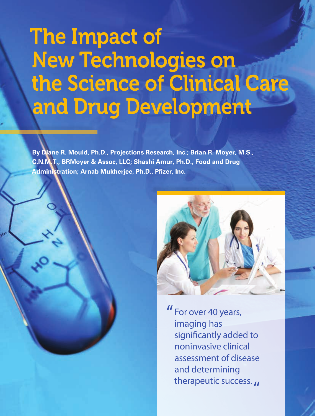# The Impact of New Technologies on the Science of Clinical Care and Drug Development

**By Diane R. Mould, Ph.D., Projections Research, Inc.; Brian R. Moyer, M.S., C.N.M.T., BRMoyer & Assoc, LLC; Shashi Amur, Ph.D., Food and Drug Administration; Arnab Mukherjee, Ph.D., Pfizer, Inc.**



For over 40 years, " imaging has significantly added to noninvasive clinical assessment of disease and determining therapeutic success. **11**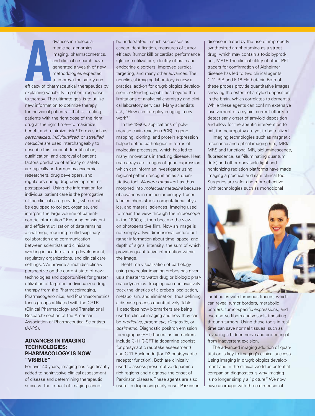**A**<br>efficacy of pha<br>explaining vari dvances in molecular medicine, genomics, imaging, pharmacometrics, and clinical research have generated a wealth of new methodologies expected to improve the safety and efficacy of pharmaceutical therapeutics by explaining variability in patient response to therapy. The ultimate goal is to utilize new information to optimize therapy for individual patients—that is, treating patients with the right dose of the right drug at the right time—to maximize benefit and minimize risk.<sup>1</sup> Terms such as *personalized, individualized,* or *stratified medicine* are used interchangeably to describe this concept. Identification, qualification, and approval of patient factors predictive of efficacy or safety are typically performed by academic researchers, drug developers, and regulators during drug development or postapproval. Using the information for individual patient care is the prerogative of the clinical care provider, who must be equipped to collect, organize, and interpret the large volume of patientcentric information.<sup>2</sup> Ensuring consistent and efficient utilization of data remains a challenge, requiring multidisciplinary collaboration and communication between scientists and clinicians working in academia, drug development, regulatory organizations, and clinical care settings. We provide a multidisciplinary perspective on the current state of new technologies and opportunities for greater utilization of targeted, individualized drug therapy from the Pharmacoimaging, Pharmacogenomics, and Pharmacometrics focus groups affiliated with the CPTR (Clinical Pharmacology and Translational Research) section of the American Association of Pharmaceutical Scientists (AAPS).

## **ADVANCES IN IMAGING TECHNOLOGIES: PHARMACOLOGY IS NOW "VISIBLE"**

For over 40 years, imaging has significantly added to noninvasive clinical assessment of disease and determining therapeutic success. The impact of imaging cannot

be understated in such successes as cancer identification, measures of tumor efficacy (tumor kill) or cardiac performance (glucose utilization), identity of brain and endocrine disorders, improved surgical targeting, and many other advances. The nonclinical imaging laboratory is now a practical add-on for drug/biologics development, extending capabilities beyond the limitations of analytical chemistry and clinical laboratory services. Many scientists ask, "How can I employ imaging in my work?"

In the 1990s, applications of polymerase chain reaction (PCR) in gene mapping, cloning, and protein expression helped define pathologies in terms of molecular processes, which has led to many innovations in tracking disease. Heat map arrays are images of gene expression which can inform an investigator using regional pattern recognition as a quantitative tool. *Modern medicine* has thus morphed into *molecular medicine* because of advances in molecular biology, tracerlabeled chemistries, computational physics, and material sciences. Imaging used to mean the view through the microscope in the 1800s; it then became the view on photosensitive film. Now an image is not simply a two-dimensional picture but rather information about time, space, and depth of signal intensity, the sum of which provides quantitative information within the image.

Real-time visualization of pathology using molecular imaging probes has given us a theater to watch drug or biologic pharmacodynamics. Imaging can noninvasively track the kinetics of a probe's localization, metabolism, and elimination, thus defining a disease process quantitatively. Table 1 describes how biomarkers are being used in clinical imaging and how they can be *predictive, prognostic, diagnostic,* or *dosimetric*. Diagnostic positron emission tomography (PET) tracers as biomarkers include C-11 ß-CFT (a dopamine agonist for presynaptic reuptake assessment) and C-11 Raclopride (for D2 postsynaptic receptor function). Both are clinically used to assess presumptive dopaminerich regions and diagnose the onset of Parkinson disease. These agents are also useful in diagnosing early onset Parkinson

disease initiated by the use of improperly synthesized amphetamine as a street drug, which may contain a toxic byproduct, MPTP. The clinical utility of other PET tracers for confirmation of Alzheimer disease has led to two clinical agents: C-11 PIB and F-18 Florbetapir. Both of these probes provide quantitative images showing the extent of amyloid deposition in the brain, which correlates to dementia. While these agents can confirm extensive involvement of amyloid, current efforts to detect early onset of amyloid deposition and allow for therapeutic intervention to halt the neuropathy are yet to be realized.

Imaging technologies such as magnetic resonance and optical imaging (i.e., MRI/ MRS and functional MR, bioluminescence, fluorescence, self-illuminating quantum dots) and other nonvisible light and nonionizing radiation platforms have made imaging a practical and safe clinical tool. Surgeries are safer and more effective with technologies such as monoclonal



 antibodies with luminous tracers, which can reveal tumor borders, metabolic borders, tumor-specific expressions, and even nerve fibers and vessels transiting through tumors. Using these tools in real time can save normal tissues, such as revealing a hidden nerve and protecting it from inadvertent excision.

The advanced imaging addition of quantitation is key to imaging's clinical success. Using imaging in drug/biologics development and in the clinical world as potential companion diagnostics is why imaging is no longer simply a "picture." We now have an image with three-dimensional

DEC '13 | AAPS NEWSMAGAZINE **13**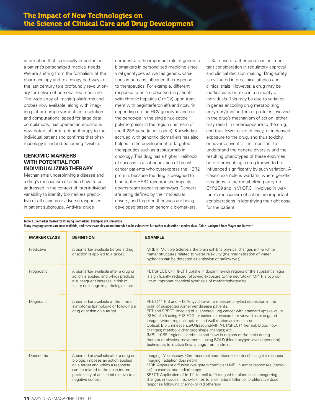information that is clinically important in a patient's personalized medical needs. We are shifting from the formalism of the pharmacology and toxicology pathways of the last century to a profoundly revolutionary formalism of personalized medicine. The wide array of imaging platforms and probes now available, along with imaging platform improvements in resolution and computational speed for large data compilations, has opened an enormous new potential for targeting therapy to the individual patient and confirms that pharmacology is indeed becoming "visible."

# **GENOMIC MARKERS WITH POTENTIAL FOR INDIVIDUALIZING THERAPY**

Mechanisms underpinning a disease and a drug's mechanism of action have to be addressed in the context of inter-individual variability to identify biomarkers predictive of efficacious or adverse responses in patient subgroups. Antiviral drugs

demonstrate the important role of genomic biomarkers in personalized medicine since viral genotypes as well as genetic variations in humans influence the response to therapeutics. For example, different response rates are observed in patients with chronic hepatitis C (HCV) upon treatment with peginterferon alfa and ribavirin, depending on the HCV genotype and on the genotype in the single nucleotide polymorphism in the region upstream of the IL-28B gene (a host gene). Knowledge accrued with genomic biomarkers has also helped in the development of targeted therapeutics such as trastuzumab in oncology. This drug has a higher likelihood of success in a subpopulation of breast cancer patients who overexpress the HER2 protein, because the drug is designed to bind to the HER2 receptor and impacts downstream signaling pathways. Cancers are being defined by their molecular drivers, and targeted therapies are being developed based on genomic biomarkers.

Safe use of a therapeutic is an important consideration in regulatory approval and clinical decision making. Drug safety is evaluated in preclinical studies and clinical trials. However, a drug may be inefficacious or toxic in a minority of individuals. This may be due to variation in genes encoding drug metabolizing enzymes/transporters or proteins involved in the drug's mechanism of action; either may result in underexposure to the drug, and thus lower or no efficacy, or increased exposure to the drug, and thus toxicity or adverse events. It is important to understand the genetic diversity and the resulting phenotypes of these enzymes before prescribing a drug known to be influenced significantly by such variation. A classic example is warfarin, where genetic variations in the metabolizing enzyme CYP2C9 and in VKORC1 involved in warfarin's mechanism of action are important considerations in identifying the right dose for the patient.

**Table 1. Biomarker Classes for Imaging Biomarkers: Examples of Clinical Use**

**Many imaging systems are now available, and these examples are not intended to be exhaustive but rather to describe a marker class. Table is adapted from Moyer and Barrett.3**

| <b>MARKER CLASS</b> | <b>DEFINITION</b>                                                                                                                                                                                                       | <b>EXAMPLE</b>                                                                                                                                                                                                                                                                                                                                                                                                                                                                                                                                                                                                                                                                           |
|---------------------|-------------------------------------------------------------------------------------------------------------------------------------------------------------------------------------------------------------------------|------------------------------------------------------------------------------------------------------------------------------------------------------------------------------------------------------------------------------------------------------------------------------------------------------------------------------------------------------------------------------------------------------------------------------------------------------------------------------------------------------------------------------------------------------------------------------------------------------------------------------------------------------------------------------------------|
| Predictive          | A biomarker available before a drug<br>or action is applied to a target.                                                                                                                                                | MRI: In Multiple Sclerosis the brain exhibits physical changes in the white<br>matter structures related to water relaxivity (the magnetization of water<br>hydrogen can be detected as emission of radiowaves).                                                                                                                                                                                                                                                                                                                                                                                                                                                                         |
| Prognostic          | A biomarker available after a drug or<br>action is applied and which predicts<br>a subsequent increase in risk of<br>injury or change in pathologic state.                                                              | PET/SPECT: C-11 ß-CFT uptake in dopamine-rich regions of the substantia nigra<br>is significantly reduced following exposure to the neurotoxin MPTP, a byprod-<br>uct of improper chemical synthesis of methamphetamine.                                                                                                                                                                                                                                                                                                                                                                                                                                                                 |
| Diagnostic          | A biomarker available at the time of<br>symptoms (pathology) or following a<br>drug or action on a target.                                                                                                              | PET: C-11 PIB and F-18 Amyvid serve to measure amyloid deposition in the<br>brain of suspected Alzheimer disease patients.<br>PET and SPECT: Imaging of suspected lung cancer with standard uptake value<br>(SUV) of >5 using F-18 FDG, or ischemic myocardium viewed as cine gated<br>images where regional uptake and wall motion are measured.<br>Optical: Bioluminescence/Ultrasound/MRI/PET/SPECT/Thermal: Blood flow<br>changes; metabolic changes; shape changes; etc.<br>fMRI: rCBF (regional cerebral blood flow) in regions of the brain during<br>thought or physical movement—using BOLD (blood oxygen level dependent)<br>techniques to localize flow change from a stroke. |
| Dosimetric          | A biomarker available after a drug or<br>biologic imposes an action applied<br>on a target and which a response<br>can be related to the dose (or pro-<br>portionality of an action) relative to a<br>negative control. | Imaging: Microscopy: Chromosomal aberrations (dicentrics) using microscopic<br>imaging (radiation dosimetry).<br>MRI: Apparent diffusion (weighted) coefficient MRI in tumor responses (necro-<br>sis) to chemo- and radiotherapy.<br>SPECT: Application of In-111 for cell trafficking white blood cells recognizing<br>changes in tissues, i.e., cytokines to elicit natural killer cell proliferative dose<br>response following chemo- or radiotherapy.                                                                                                                                                                                                                              |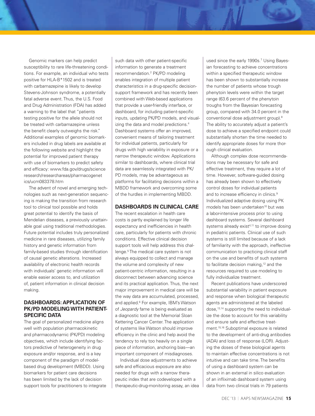Genomic markers can help predict susceptibility to rare life-threatening conditions. For example, an individual who tests positive for HLA-B\*1502 and is treated with carbamazepine is likely to develop Stevens-Johnson syndrome, a potentially fatal adverse event. Thus, the U.S. Food and Drug Administration (FDA) has added a warning to the label that "patients testing positive for the allele should not be treated with carbamazepine unless the benefit clearly outweighs the risk." Additional examples of genomic biomarkers included in drug labels are available at the following website and highlight the potential for improved patient therapy with use of biomarkers to predict safety and efficacy: www.fda.gov/drugs/science research/researchareas/pharmacogenet ics/ucm083378.htm

The advent of novel and emerging technologies such as next-generation sequencing is making the transition from research tool to clinical tool possible and holds great potential to identify the basis of Mendelian diseases, a previously unattainable goal using traditional methodologies. Future potential includes truly personalized medicine in rare diseases, utilizing family history and genetic information from family-based studies through identification of causal genetic alterations. Increased availability of electronic health records with individuals' genetic information will enable easier access to, and utilization of, patient information in clinical decision making.

# **DASHBOARDS: APPLICATION OF PK/PD MODELING WITH PATIENT-SPECIFIC DATA**

The goal of personalized medicine aligns well with population pharmacokinetic and pharmacodynamic (PK/PD) modeling objectives, which include identifying factors predictive of heterogeneity in drug exposure and/or response, and is a key component of the paradigm of modelbased drug development (MBDD). Using biomarkers for patient care decisions has been limited by the lack of decision support tools for practitioners to integrate

such data with other patient-specific information to generate a treatment recommendation.2 PK/PD modeling enables integration of multiple patient characteristics in a drug-specific decisionsupport framework and has recently been combined with Web-based applications that provide a user-friendly interface, or dashboard, for including patient-specific inputs, updating PK/PD models, and visualizing the data and model predictions.<sup>4</sup> Dashboard systems offer an improved, convenient means of tailoring treatment for individual patients, particularly for drugs with high variability in exposure or a narrow therapeutic window. Applications similar to dashboards, where clinical trial data are seamlessly integrated with PK/ PD models, may be advantageous as platforms for facilitating decisions within a MBDD framework and overcoming some of the hurdles in implementing MBDD.

## **DASHBOARDS IN CLINICAL CARE**

The recent escalation in health care costs is partly explained by longer life expectancy and inefficiencies in health care, particularly for patients with chronic conditions. Effective clinical decision support tools will help address this challenge.<sup>5</sup> The medical care system is not always equipped to collect and manage the volume and complexity of new patient-centric information, resulting in a disconnect between advancing science and its practical application. Thus, the next major improvement in medical care will be the way data are accumulated, processed, and applied.<sup>6</sup> For example, IBM's Watson of *Jeopardy* fame is being evaluated as a diagnostic tool at the Memorial Sloan Kettering Cancer Center. The application of systems like Watson should improve efficiency in the clinic and help avoid the tendency to rely too heavily on a single piece of information, anchoring bias—an important component of misdiagnoses.

Individual dose adjustments to achieve safe and efficacious exposure are also needed for drugs with a narrow therapeutic index that are codeveloped with a therapeutic-drug-monitoring assay, an idea

used since the early 1990s.<sup>7</sup> Using Bayesian forecasting to achieve concentrations within a specified therapeutic window has been shown to substantially increase the number of patients whose trough phenytoin levels were within the target range (63.6 percent of the phenytoin troughs from the Bayesian forecasting group, compared with 34.0 percent in the conventional dose adjustment group).<sup>8</sup> The ability to accurately adjust a patient's dose to achieve a specified endpoint could substantially shorten the time needed to identify appropriate doses for more thorough clinical evaluation.

Although complex dose recommendations may be necessary for safe and effective treatment, they require a lot of time. However, software-guided dosing has already been shown to effectively control doses for individual patients and to increase efficiency in clinics.<sup>9</sup> Individualized adaptive dosing using PK models has been undertaken<sup>10</sup> but was a labor-intensive process prior to using dashboard systems. Several dashboard systems already exist<sup>4,11</sup> to improve dosing in pediatric patients. Clinical use of such systems is still limited because of a lack of familiarity with the approach, ineffective communication to practicing clinical staff on the use and benefits of such systems to facilitate decision making,<sup>12</sup> and the resources required to use modeling to fully individualize treatment.

Recent publications have underscored substantial variability in patient exposure and response when biological therapeutic agents are administered at the labeled dose,<sup>13,14</sup> supporting the need to individualize the dose to account for this variability and ensure safe and effective treatment.15,16 Suboptimal exposure is related to the development of anti-drug antibodies (ADA) and loss of response (LOR). Adjusting the doses of these biological agents to maintain effective concentrations is not intuitive and can take time. The benefits of using a dashboard system can be shown in an external in silico evaluation of an infliximab dashboard system using data from two clinical trials in 79 patients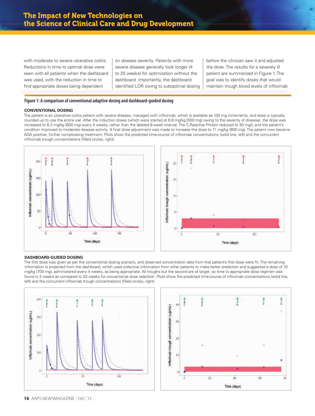with moderate to severe ulcerative colitis. Reductions in time to optimal dose were seen with all patients when the dashboard was used, with the reduction in time to find appropriate doses being dependent

on disease severity. Patients with more severe disease generally took longer (4 to 20 weeks) for optimization without the dashboard. Importantly, the dashboard identified LOR owing to suboptimal dosing

before the clinician saw it and adjusted the dose. The results for a severely ill patient are summarized in Figure 1. The goal was to identify doses that would maintain trough blood levels of infliximab

### **Figure 1: A comparison of conventional adaptive dosing and dashboard-guided dosing**

#### **CONVENTIONAL DOSING**

The patient is an ulcerative colitis patient with severe disease, managed with infliximab, which is available as 100 mg increments, and dose is typically rounded up to use the entire vial. After the induction doses (which were started at 6.8 mg/kg [500 mg] owing to the severity of disease), the dose was increased to 8.3 mg/kg (600 mg) every 4 weeks, rather than the labeled 8-week interval. The C-Reactive Protein reduced to 30 mg/L and the patient's condition improved to moderate disease activity. A final dose adjustment was made to increase the dose to 11 mg/kg (800 mg). The patient now became ADA positive, further complicating treatment. Plots show the predicted time-course of infliximab concentrations (solid line, left) and the concurrent infliximab trough concentrations (filled circles, right).





#### **DASHBOARD-GUIDED DOSING**

The first dose was given as per the conventional dosing scenario, and observed concentration data from that patient's first dose were fit. The remaining information is projected from the dashboard, which used collective information from other patients to make better prediction and suggested a dose of 10 mg/kg (700 mg), administered every 4 weeks, as being appropriate. All troughs but the second are at target, so time to appropriate dose regimen was found in 2 weeks as compared to 20 weeks for conventional dose selection. Plots show the predicted time-course of infliximab concentrations (solid line, left) and the concurrent infliximab trough concentrations (filled circles, right).